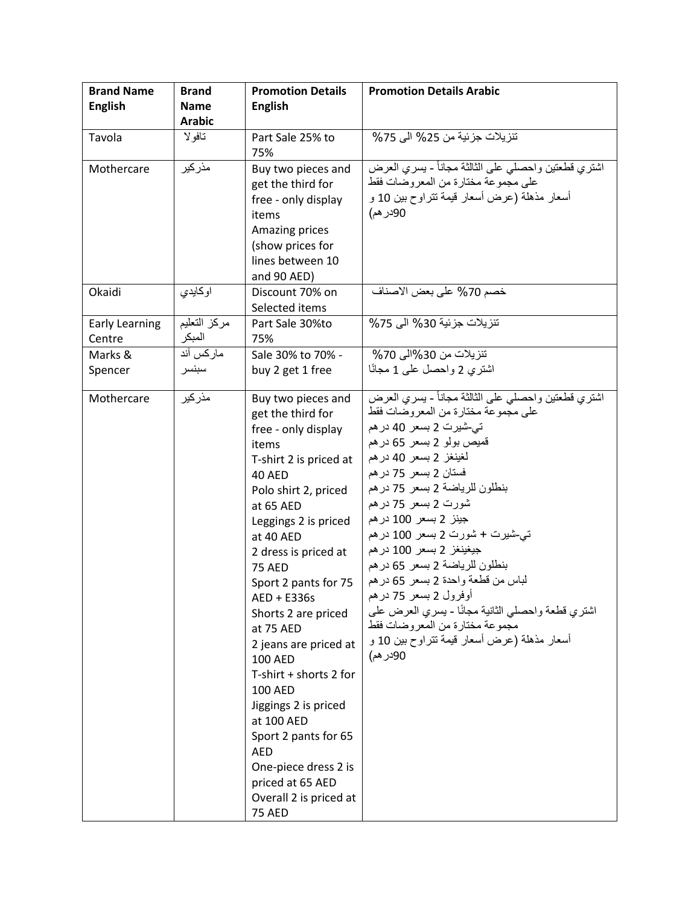| <b>Brand Name</b>     | <b>Brand</b>  | <b>Promotion Details</b>                | <b>Promotion Details Arabic</b>                                                        |
|-----------------------|---------------|-----------------------------------------|----------------------------------------------------------------------------------------|
| <b>English</b>        | <b>Name</b>   | <b>English</b>                          |                                                                                        |
|                       | <b>Arabic</b> |                                         |                                                                                        |
| Tavola                | تافولا        | Part Sale 25% to                        | تنزيلات جزئية من 25% الى 75%                                                           |
|                       |               | 75%                                     |                                                                                        |
| Mothercare            | مذركير        | Buy two pieces and                      | اشتري قطعتين واحصلي على الثالثة مجاناً - يسري العرض                                    |
|                       |               | get the third for                       | على مجموعة مختارة من المعروضات فقط                                                     |
|                       |               | free - only display                     | أسعار مذهلة (عرض أسعار قيمة تتراوح بين 10 و                                            |
|                       |               | items                                   | 90در هم)                                                                               |
|                       |               | Amazing prices                          |                                                                                        |
|                       |               | (show prices for                        |                                                                                        |
|                       |               | lines between 10                        |                                                                                        |
|                       |               | and 90 AED)                             |                                                                                        |
| Okaidi                | اوكايدي       | Discount 70% on                         | خصم 70% على بعض الاصناف                                                                |
|                       |               | Selected items                          |                                                                                        |
| <b>Early Learning</b> | مركز التعليم  | Part Sale 30%to                         | تنزيلات جزئية 30% الى 75%                                                              |
| Centre                | المبكر        | 75%                                     |                                                                                        |
| Marks &               | ماركس آند     | Sale 30% to 70% -                       | تنزيلات من 30%الي 70%                                                                  |
| Spencer               | سبنسر         | buy 2 get 1 free                        | اشترى 2 واحصل على 1 مجانًا                                                             |
|                       |               |                                         |                                                                                        |
| Mothercare            | مذركير        | Buy two pieces and                      | اشتري قطعتين واحصلبي علىي الثالثة مجاناً - يسرى العرض                                  |
|                       |               | get the third for                       | على مجموعة مختارة من المعروضات فقط                                                     |
|                       |               | free - only display                     | تي-شيرت 2 بسعر 40 در هم                                                                |
|                       |               | items                                   | قميص بولو 2 بسعر 65 در هم                                                              |
|                       |               | T-shirt 2 is priced at                  | لغينغز 2 بسعر 40 در هم                                                                 |
|                       |               | <b>40 AED</b>                           | فستان 2 بسعر 75 در هم                                                                  |
|                       |               | Polo shirt 2, priced                    | بنطلون للرياضة 2 بسعر 75 در هم                                                         |
|                       |               | at 65 AED                               | شورت 2 بسعر 75 در هم                                                                   |
|                       |               | Leggings 2 is priced                    | جينز 2 بسعر 100 در هم                                                                  |
|                       |               | at 40 AED                               | تي-شيرت + شورت 2 بسعر 100 در هم                                                        |
|                       |               | 2 dress is priced at                    | جيغينغز 2 بسعر 100 در هم                                                               |
|                       |               | <b>75 AED</b>                           | بنطلون للرياضة 2 بسعر 65 در هم                                                         |
|                       |               | Sport 2 pants for 75                    | لباس من قطعة واحدة 2 بسعر 65 در هم                                                     |
|                       |               | AED + E336s                             | أوفرول 2 بسعر 75 در هم                                                                 |
|                       |               | Shorts 2 are priced                     | اشتري قطعة واحصلبي الثانية مجانًا - بسري العرض علمي<br>مجموعة مختارة من المعر وضات فقط |
|                       |               | at 75 AED                               | أسعار مذهلة (عرض أسعار قيمة نتراوح بين 10 و                                            |
|                       |               | 2 jeans are priced at<br><b>100 AED</b> | 90در هم)                                                                               |
|                       |               | T-shirt + shorts 2 for                  |                                                                                        |
|                       |               | <b>100 AED</b>                          |                                                                                        |
|                       |               | Jiggings 2 is priced                    |                                                                                        |
|                       |               | at 100 AED                              |                                                                                        |
|                       |               | Sport 2 pants for 65                    |                                                                                        |
|                       |               | AED                                     |                                                                                        |
|                       |               | One-piece dress 2 is                    |                                                                                        |
|                       |               | priced at 65 AED                        |                                                                                        |
|                       |               | Overall 2 is priced at                  |                                                                                        |
|                       |               | <b>75 AED</b>                           |                                                                                        |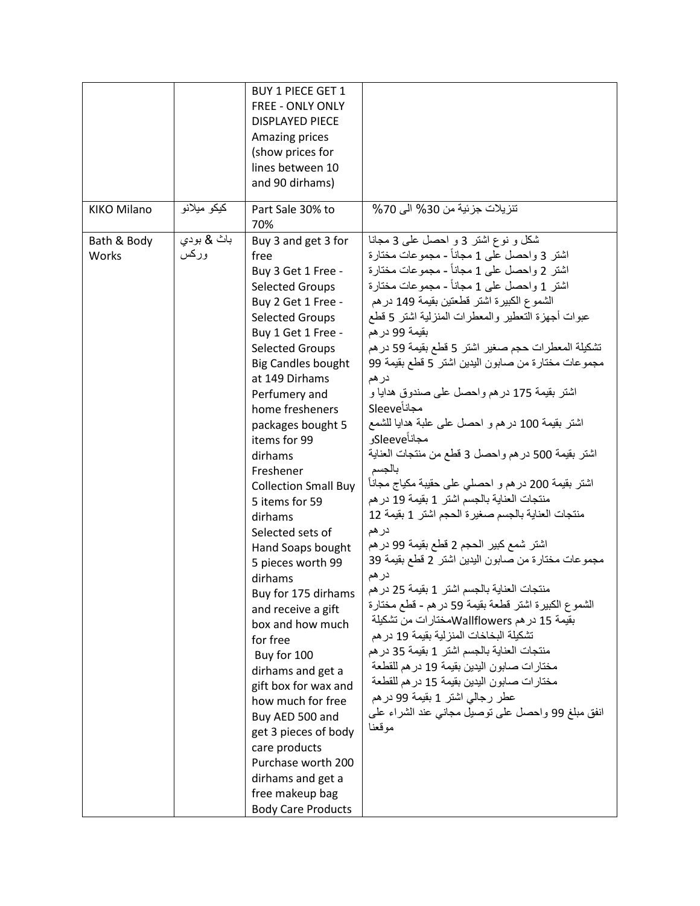|                      |                    | <b>BUY 1 PIECE GET 1</b><br>FREE - ONLY ONLY<br><b>DISPLAYED PIECE</b><br>Amazing prices<br>(show prices for<br>lines between 10                                                                                                                                                                                                                                                                                                                                                                                                                                                                                                                                                                                                                                               |                                                                                                                                                                                                                                                                                                                                                                                                                                                                                                                                                                                                                                                                                                                                                                                                                                                                                                                                                                                                                                                                                                                                                                                                                                                                                                                                                                    |
|----------------------|--------------------|--------------------------------------------------------------------------------------------------------------------------------------------------------------------------------------------------------------------------------------------------------------------------------------------------------------------------------------------------------------------------------------------------------------------------------------------------------------------------------------------------------------------------------------------------------------------------------------------------------------------------------------------------------------------------------------------------------------------------------------------------------------------------------|--------------------------------------------------------------------------------------------------------------------------------------------------------------------------------------------------------------------------------------------------------------------------------------------------------------------------------------------------------------------------------------------------------------------------------------------------------------------------------------------------------------------------------------------------------------------------------------------------------------------------------------------------------------------------------------------------------------------------------------------------------------------------------------------------------------------------------------------------------------------------------------------------------------------------------------------------------------------------------------------------------------------------------------------------------------------------------------------------------------------------------------------------------------------------------------------------------------------------------------------------------------------------------------------------------------------------------------------------------------------|
|                      |                    | and 90 dirhams)                                                                                                                                                                                                                                                                                                                                                                                                                                                                                                                                                                                                                                                                                                                                                                |                                                                                                                                                                                                                                                                                                                                                                                                                                                                                                                                                                                                                                                                                                                                                                                                                                                                                                                                                                                                                                                                                                                                                                                                                                                                                                                                                                    |
| <b>KIKO Milano</b>   | كيكو ميلانو        | Part Sale 30% to<br>70%                                                                                                                                                                                                                                                                                                                                                                                                                                                                                                                                                                                                                                                                                                                                                        | تنزيلات جزئية من 30% الى 70%                                                                                                                                                                                                                                                                                                                                                                                                                                                                                                                                                                                                                                                                                                                                                                                                                                                                                                                                                                                                                                                                                                                                                                                                                                                                                                                                       |
| Bath & Body<br>Works | باث & بودي<br>وركس | Buy 3 and get 3 for<br>free<br>Buy 3 Get 1 Free -<br>Selected Groups<br>Buy 2 Get 1 Free -<br><b>Selected Groups</b><br>Buy 1 Get 1 Free -<br><b>Selected Groups</b><br><b>Big Candles bought</b><br>at 149 Dirhams<br>Perfumery and<br>home fresheners<br>packages bought 5<br>items for 99<br>dirhams<br>Freshener<br><b>Collection Small Buy</b><br>5 items for 59<br>dirhams<br>Selected sets of<br>Hand Soaps bought<br>5 pieces worth 99<br>dirhams<br>Buy for 175 dirhams<br>and receive a gift<br>box and how much<br>for free<br>Buy for 100<br>dirhams and get a<br>gift box for wax and<br>how much for free<br>Buy AED 500 and<br>get 3 pieces of body<br>care products<br>Purchase worth 200<br>dirhams and get a<br>free makeup bag<br><b>Body Care Products</b> | شکل و نوع اشتر 3 و احصل علمی 3 مجانا<br>اشتر 3 واحصل على 1 مجاناً - مجموعات مختارة<br>اشتر 2 واحصل على 1 مجاناً - مجموعات مختارة<br>اشتر 1 واحصل على 1 مجاناً - مجموعات مختارة<br>الشموع الكبيرة اشتر قطعتين بقيمة 149 در هم<br>عبوات أجهزة النعطير والمعطرات المنزلية اشتر 5 قطع<br>بقيمة 99 در هم<br>تشكيلة المعطرات حجم صغير اشتر 5 قطع بقيمة 59 در هم<br>مجموعات مختارة من صابون اليدين اشتر 5 قطع بقيمة 99<br>در هم<br>اشتر بقيمة 175 در هم واحصل على صندوق هدايا و<br><b>Sleeve</b><br>اشتر بقيمة 100 در هم و احصل على علمة هدايا للشمع<br>مجاناًSleeveو<br>اشتر بقيمة 500 در هم واحصل 3 قطع من منتجات العناية<br>بالجسم<br>اشتر بقيمة 200 در هم و احصلبي على حقيبة مكياج مجاناً<br>منتجات العناية بالجسم اشتر 1 بقيمة 19 در هم<br>منتجات العناية بالجسم صغيرة الحجم اشتر 1 بقيمة 12<br>در هم<br>اشتر شمع كبير الحجم 2 قطع بقيمة 99 در هم<br>مجموعات مختارة من صابون اليدين اشتر 2 قطع بقيمة 39<br>در هم<br>منتجات العناية بالجسم اشتر 1 بقيمة 25 در هم<br>الشموع الكبيرة اشتر قطعة بقيمة 59 در هم - قطع مختارة<br>بقيمة 15 در هم Wallflowersسختار ات من تشكيلة<br>تشكيلة البخاخات المنز لية بقيمة 19 در هم<br>منتجات العناية بالجسم اشتر 1 بقيمة 35 در هم<br>مختار ات صابون اليدين بقيمة 19 در هم للقطعة<br>مختار ات صـابون اليدين بقيمة 15 در هم للقطعة<br>عطر رجالي اشتر 1 بقيمة 99 در هم<br>انفق مبلغ 99 واحصل على نوصيل مجانبي عند الشراء على<br>موقعنا |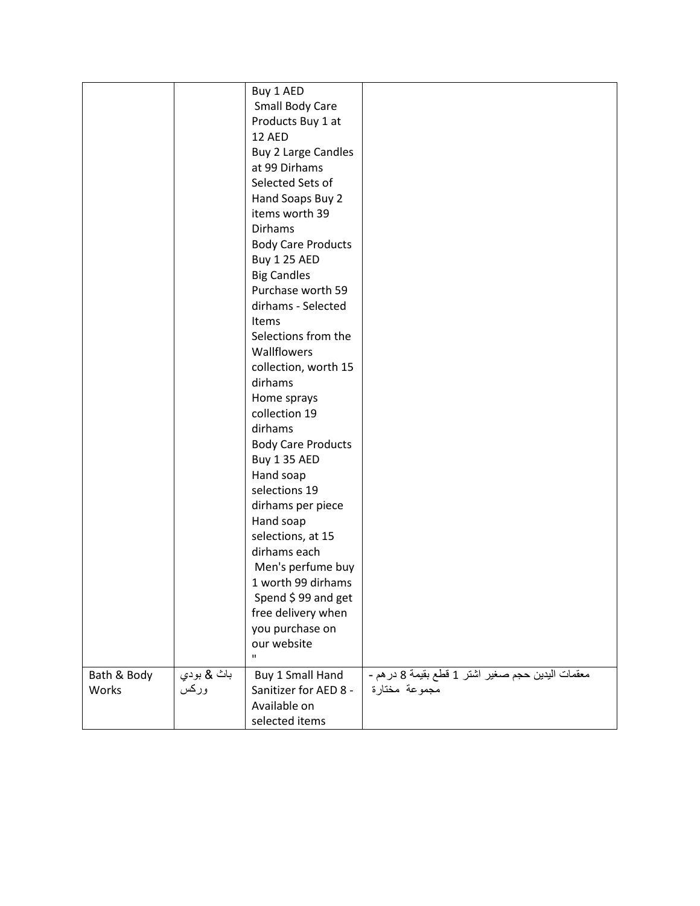|             |            | Buy 1 AED                  |                                                   |
|-------------|------------|----------------------------|---------------------------------------------------|
|             |            | Small Body Care            |                                                   |
|             |            | Products Buy 1 at          |                                                   |
|             |            | 12 AED                     |                                                   |
|             |            | <b>Buy 2 Large Candles</b> |                                                   |
|             |            | at 99 Dirhams              |                                                   |
|             |            | Selected Sets of           |                                                   |
|             |            | Hand Soaps Buy 2           |                                                   |
|             |            | items worth 39             |                                                   |
|             |            | <b>Dirhams</b>             |                                                   |
|             |            | <b>Body Care Products</b>  |                                                   |
|             |            | <b>Buy 1 25 AED</b>        |                                                   |
|             |            | <b>Big Candles</b>         |                                                   |
|             |            | Purchase worth 59          |                                                   |
|             |            | dirhams - Selected         |                                                   |
|             |            | <b>Items</b>               |                                                   |
|             |            | Selections from the        |                                                   |
|             |            | Wallflowers                |                                                   |
|             |            | collection, worth 15       |                                                   |
|             |            | dirhams                    |                                                   |
|             |            | Home sprays                |                                                   |
|             |            | collection 19              |                                                   |
|             |            | dirhams                    |                                                   |
|             |            | <b>Body Care Products</b>  |                                                   |
|             |            | Buy 1 35 AED               |                                                   |
|             |            | Hand soap                  |                                                   |
|             |            | selections 19              |                                                   |
|             |            | dirhams per piece          |                                                   |
|             |            | Hand soap                  |                                                   |
|             |            | selections, at 15          |                                                   |
|             |            | dirhams each               |                                                   |
|             |            | Men's perfume buy          |                                                   |
|             |            | 1 worth 99 dirhams         |                                                   |
|             |            | Spend \$99 and get         |                                                   |
|             |            | free delivery when         |                                                   |
|             |            | you purchase on            |                                                   |
|             |            | our website                |                                                   |
|             |            | $\mathbf{u}$               |                                                   |
| Bath & Body | باث & بودي | Buy 1 Small Hand           | معقمات اليدين حجم صغير اشتر 1 قطع بقيمة 8 در هم - |
| Works       | وركس       | Sanitizer for AED 8 -      | مجموعة مختارة                                     |
|             |            | Available on               |                                                   |
|             |            | selected items             |                                                   |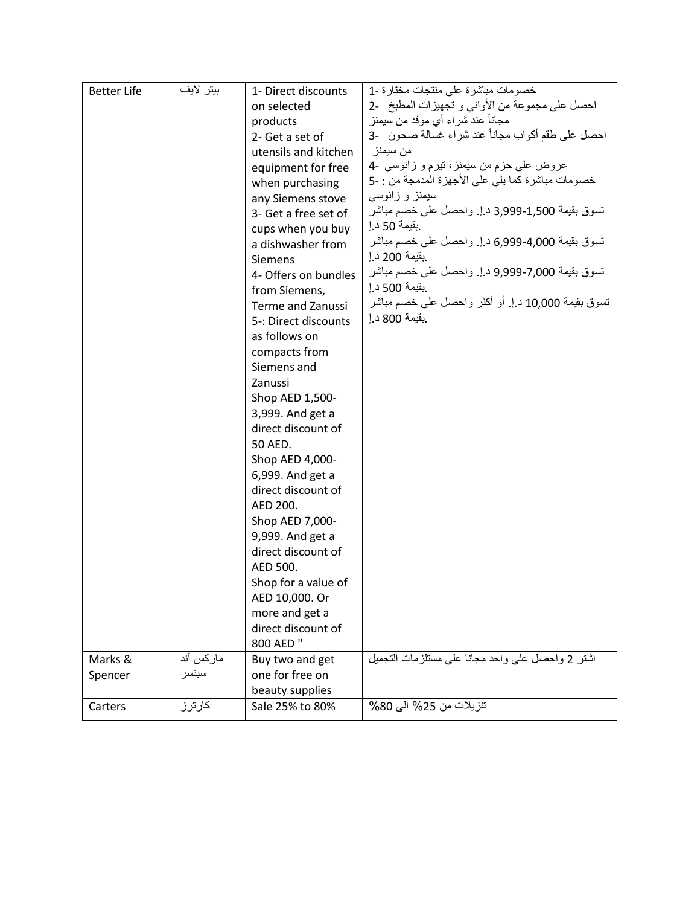| <b>Better Life</b> | بيتر لايف | 1- Direct discounts      | خصومات مباشرة على منتجات مختارة -1                 |
|--------------------|-----------|--------------------------|----------------------------------------------------|
|                    |           | on selected              | احصل على مجموعة من الأواني و تجهيزات المطبخ -2     |
|                    |           | products                 | مجاناً عند شراء أي موقد من سيمنز                   |
|                    |           | 2- Get a set of          | احصل على طقم أكواب مجاناً عند شراء غسالة صحون   -3 |
|                    |           | utensils and kitchen     | من سيمنز                                           |
|                    |           | equipment for free       | عروض على حزم من سيمنز، تيرم و زانوسي -4            |
|                    |           | when purchasing          | خصومات مباشرة كما يلي على الأجهزة المدمجة من : -5  |
|                    |           | any Siemens stove        | سیمنز و زانوسی                                     |
|                    |           | 3- Get a free set of     | تسوق بقيمة 1,500-3,999 د.إ. واحصل على خصم مباشر    |
|                    |           | cups when you buy        | .بقيمة 50 د إ                                      |
|                    |           | a dishwasher from        | تسوق بقيمة 4,000-6,999 د.إ. واحصل على خصم مباشر    |
|                    |           | <b>Siemens</b>           | .بقيمة 200 د إ                                     |
|                    |           | 4- Offers on bundles     | نسوق بقيمة 7,000-9,999 د إ. واحصل على خصم مباشر    |
|                    |           | from Siemens,            | .بقيمة 500 د إ                                     |
|                    |           | <b>Terme and Zanussi</b> | تسوق بقيمة 10,000 د.إ. أو أكثر واحصل على خصم مباشر |
|                    |           | 5-: Direct discounts     | .بقيمة 800 د إ                                     |
|                    |           | as follows on            |                                                    |
|                    |           | compacts from            |                                                    |
|                    |           | Siemens and              |                                                    |
|                    |           | Zanussi                  |                                                    |
|                    |           | Shop AED 1,500-          |                                                    |
|                    |           | 3,999. And get a         |                                                    |
|                    |           | direct discount of       |                                                    |
|                    |           | 50 AED.                  |                                                    |
|                    |           | Shop AED 4,000-          |                                                    |
|                    |           | 6,999. And get a         |                                                    |
|                    |           | direct discount of       |                                                    |
|                    |           | AED 200.                 |                                                    |
|                    |           | Shop AED 7,000-          |                                                    |
|                    |           | 9,999. And get a         |                                                    |
|                    |           | direct discount of       |                                                    |
|                    |           | AED 500.                 |                                                    |
|                    |           | Shop for a value of      |                                                    |
|                    |           | AED 10,000. Or           |                                                    |
|                    |           | more and get a           |                                                    |
|                    |           | direct discount of       |                                                    |
|                    |           | 800 AED "                |                                                    |
| Marks &            | ماركس أند | Buy two and get          | اشتر 2 واحصل على واحد مجانا على مستلزمات التجميل   |
| Spencer            | سبنسر     | one for free on          |                                                    |
|                    |           | beauty supplies          |                                                    |
| Carters            | كارترز    | Sale 25% to 80%          | تنزيلات من 25% الى 80%                             |